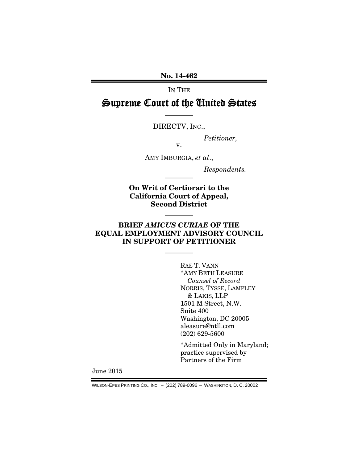No. 14-462

IN THE

# Supreme Court of the United States

———— DIRECTV, INC.,

*Petitioner,* 

AMY IMBURGIA, *et al*.,

v.

*Respondents.* 

On Writ of Certiorari to the California Court of Appeal, Second District

————

————

## BRIEF *AMICUS CURIAE* OF THE EQUAL EMPLOYMENT ADVISORY COUNCIL IN SUPPORT OF PETITIONER

————

 RAE T. VANN \*AMY BETH LEASURE *Counsel of Record*  NORRIS, TYSSE, LAMPLEY & LAKIS, LLP 1501 M Street, N.W. Suite 400 Washington, DC 20005 aleasure@ntll.com (202) 629-5600

\*Admitted Only in Maryland; practice supervised by Partners of the Firm

June 2015

WILSON-EPES PRINTING CO., INC. – (202) 789-0096 – WASHINGTON, D. C. 20002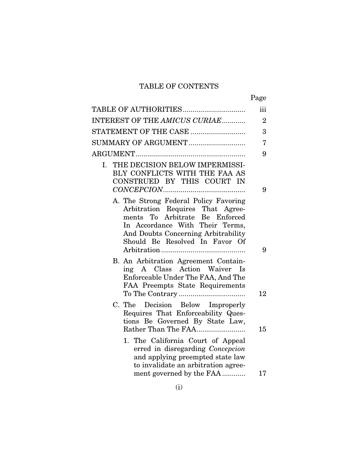# TABLE OF CONTENTS

|                                                                                                                                                                                                                         | Page           |
|-------------------------------------------------------------------------------------------------------------------------------------------------------------------------------------------------------------------------|----------------|
|                                                                                                                                                                                                                         | iii            |
| INTEREST OF THE AMICUS CURIAE                                                                                                                                                                                           | $\overline{2}$ |
| STATEMENT OF THE CASE                                                                                                                                                                                                   | 3              |
| SUMMARY OF ARGUMENT                                                                                                                                                                                                     | 7              |
|                                                                                                                                                                                                                         | 9              |
| THE DECISION BELOW IMPERMISSI-<br>I.<br>BLY CONFLICTS WITH THE FAA AS<br>CONSTRUED BY THIS COURT IN                                                                                                                     | 9              |
| A. The Strong Federal Policy Favoring<br>Arbitration Requires That Agree-<br>ments To Arbitrate Be Enforced<br>In Accordance With Their Terms,<br>And Doubts Concerning Arbitrability<br>Should Be Resolved In Favor Of | 9              |
| B. An Arbitration Agreement Contain-<br>ing A Class Action Waiver Is<br>Enforceable Under The FAA, And The<br>FAA Preempts State Requirements                                                                           |                |
| C. The Decision Below Improperly<br>Requires That Enforceability Ques-<br>tions Be Governed By State Law,<br>Rather Than The FAA                                                                                        | 12<br>15       |
| 1. The California Court of Appeal<br>erred in disregarding Concepcion<br>and applying preempted state law<br>to invalidate an arbitration agree-<br>ment governed by the FAA                                            | 17             |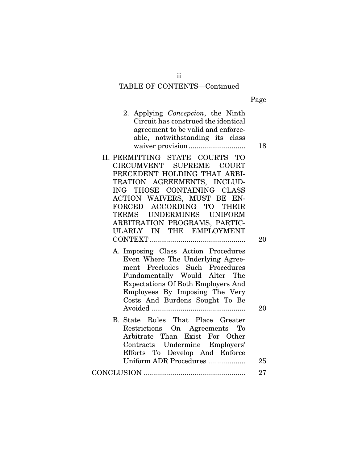#### TABLE OF CONTENTS—Continued

|--|

- 2. Applying *Concepcion*, the Ninth Circuit has construed the identical agreement to be valid and enforceable, notwithstanding its class waiver provision ............................. 18
- II. PERMITTING STATE COURTS TO CIRCUMVENT SUPREME COURT PRECEDENT HOLDING THAT ARBI-TRATION AGREEMENTS, INCLUD-ING THOSE CONTAINING CLASS ACTION WAIVERS, MUST BE EN-FORCED ACCORDING TO THEIR TERMS UNDERMINES UNIFORM ARBITRATION PROGRAMS, PARTIC-ULARLY IN THE EMPLOYMENT CONTEXT ................................................. 20
	- A. Imposing Class Action Procedures Even Where The Underlying Agreement Precludes Such Procedures Fundamentally Would Alter The Expectations Of Both Employers And Employees By Imposing The Very Costs And Burdens Sought To Be Avoided ................................................ 20
- B. State Rules That Place Greater Restrictions On Agreements To Arbitrate Than Exist For Other Contracts Undermine Employers' Efforts To Develop And Enforce Uniform ADR Procedures ................... 25 CONCLUSION .................................................... 27

ii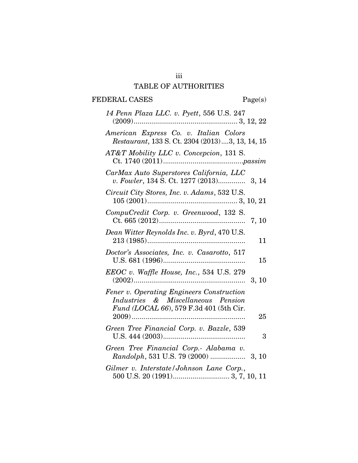# TABLE OF AUTHORITIES

# FEDERAL CASES Page(s)

| 14 Penn Plaza LLC. v. Pyett, 556 U.S. 247                                                                                  |       |
|----------------------------------------------------------------------------------------------------------------------------|-------|
| American Express Co. v. Italian Colors<br>Restaurant, 133 S. Ct. 2304 (2013)3, 13, 14, 15                                  |       |
| AT&T Mobility LLC v. Concepcion, 131 S.                                                                                    |       |
| CarMax Auto Superstores California, LLC<br>v. Fowler, 134 S. Ct. 1277 (2013) 3, 14                                         |       |
| Circuit City Stores, Inc. v. Adams, 532 U.S.                                                                               |       |
| CompuCredit Corp. v. Greenwood, 132 S.                                                                                     | 7, 10 |
| Dean Witter Reynolds Inc. v. Byrd, 470 U.S.                                                                                | 11    |
| Doctor's Associates, Inc. v. Casarotto, 517                                                                                | 15    |
| EEOC v. Waffle House, Inc., 534 U.S. 279                                                                                   | 3, 10 |
| Fener v. Operating Engineers Construction<br>Industries & Miscellaneous Pension<br>Fund (LOCAL 66), 579 F.3d 401 (5th Cir. | 25    |
| Green Tree Financial Corp. v. Bazzle, 539                                                                                  | 3     |
| Green Tree Financial Corp.- Alabama v.                                                                                     |       |
| Gilmer v. Interstate/Johnson Lane Corp.,                                                                                   |       |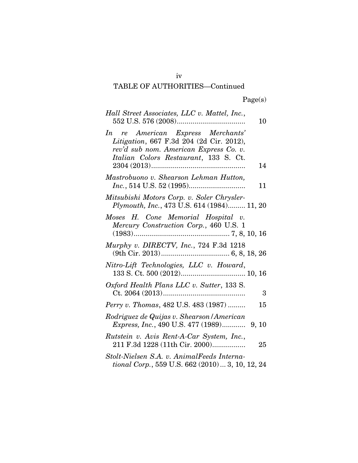# TABLE OF AUTHORITIES—Continued

| Hall Street Associates, LLC v. Mattel, Inc.,                                                                                                                     | 10 |
|------------------------------------------------------------------------------------------------------------------------------------------------------------------|----|
| In re American Express Merchants'<br>Litigation, 667 F.3d 204 (2d Cir. 2012),<br>rev'd sub nom. American Express Co. v.<br>Italian Colors Restaurant, 133 S. Ct. | 14 |
| Mastrobuono v. Shearson Lehman Hutton,                                                                                                                           | 11 |
| Mitsubishi Motors Corp. v. Soler Chrysler-<br>Plymouth, Inc., 473 U.S. 614 (1984) 11, 20                                                                         |    |
| Moses H. Cone Memorial Hospital v.<br>Mercury Construction Corp., 460 U.S. 1                                                                                     |    |
| Murphy v. DIRECTV, Inc., 724 F.3d 1218                                                                                                                           |    |
| Nitro-Lift Technologies, LLC v. Howard,                                                                                                                          |    |
| Oxford Health Plans LLC v. Sutter, 133 S.                                                                                                                        | 3  |
| Perry v. Thomas, 482 U.S. 483 (1987)                                                                                                                             | 15 |
| Rodriguez de Quijas v. Shearson / American<br><i>Express, Inc., 490 U.S. 477 (1989)</i> 9, 10                                                                    |    |
| Rutstein v. Avis Rent-A-Car System, Inc.,<br>211 F.3d 1228 (11th Cir. 2000)                                                                                      | 25 |
| Stolt-Nielsen S.A. v. AnimalFeeds Interna-<br>tional Corp., 559 U.S. 662 (2010)  3, 10, 12, 24                                                                   |    |

iv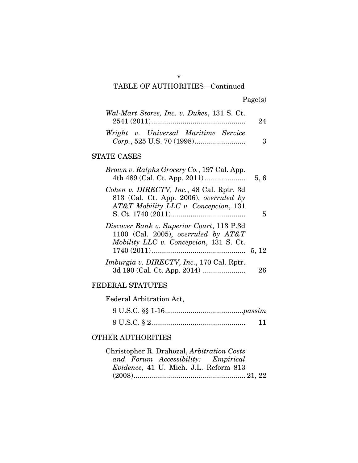# TABLE OF AUTHORITIES—Continued

| Wal-Mart Stores, Inc. v. Dukes, 131 S. Ct. | 94 |
|--------------------------------------------|----|
| Wright v. Universal Maritime Service       | 3  |

# STATE CASES

| 5,6   | Brown v. Ralphs Grocery Co., 197 Cal. App.                                                                                    |
|-------|-------------------------------------------------------------------------------------------------------------------------------|
| 5     | Cohen v. DIRECTV, Inc., 48 Cal. Rptr. 3d<br>813 (Cal. Ct. App. 2006), overruled by<br>AT&T Mobility LLC v. Concepcion, 131    |
|       | Discover Bank v. Superior Court, 113 P.3d<br>1100 (Cal. 2005), overruled by $AT\&T$<br>Mobility LLC v. Concepcion, 131 S. Ct. |
| 5, 12 |                                                                                                                               |
| 26    | <i>Imburgia v. DIRECTV, Inc., 170 Cal. Rptr.</i>                                                                              |

## FEDERAL STATUTES

Federal Arbitration Act, 9 U.S.C. §§ 1-16 ........................................*passim*  9 U.S.C. § 2 ................................................ 11

# OTHER AUTHORITIES

| Christopher R. Drahozal, Arbitration Costs |  |
|--------------------------------------------|--|
| and Forum Accessibility: Empirical         |  |
| Evidence, 41 U. Mich. J.L. Reform 813      |  |
|                                            |  |

v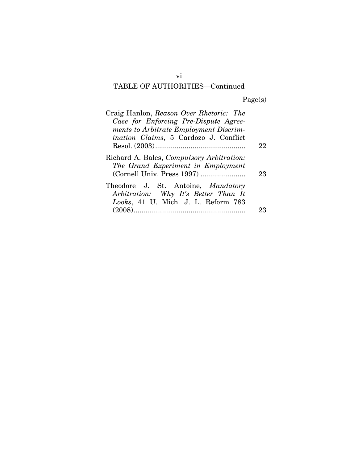# TABLE OF AUTHORITIES—Continued

Page(s)

| Craig Hanlon, Reason Over Rhetoric: The<br>Case for Enforcing Pre-Dispute Agree-<br>ments to Arbitrate Employment Discrim-<br>ination Claims, 5 Cardozo J. Conflict |    |
|---------------------------------------------------------------------------------------------------------------------------------------------------------------------|----|
|                                                                                                                                                                     | 22 |
| Richard A. Bales, <i>Compulsory Arbitration</i> :<br>The Grand Experiment in Employment<br>(Cornell Univ. Press 1997)                                               | 23 |
| Theodore J. St. Antoine, Mandatory<br>Arbitration: Why It's Better Than It<br>Looks, 41 U. Mich. J. L. Reform 783                                                   |    |
| (2008).                                                                                                                                                             |    |

vi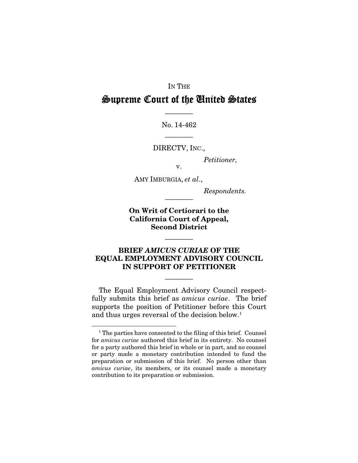#### IN THE

# Supreme Court of the United States

No. 14-462

————

DIRECTV, INC.,

————

*Petitioner,* 

v.

AMY IMBURGIA, *et al*.,

*Respondents.* 

On Writ of Certiorari to the California Court of Appeal, Second District

————

### BRIEF *AMICUS CURIAE* OF THE EQUAL EMPLOYMENT ADVISORY COUNCIL IN SUPPORT OF PETITIONER

————

————

The Equal Employment Advisory Council respectfully submits this brief as *amicus curiae*. The brief supports the position of Petitioner before this Court and thus urges reversal of the decision below.<sup>1</sup>

1

<sup>&</sup>lt;sup>1</sup> The parties have consented to the filing of this brief. Counsel for *amicus curiae* authored this brief in its entirety. No counsel for a party authored this brief in whole or in part, and no counsel or party made a monetary contribution intended to fund the preparation or submission of this brief. No person other than *amicus curiae*, its members, or its counsel made a monetary contribution to its preparation or submission.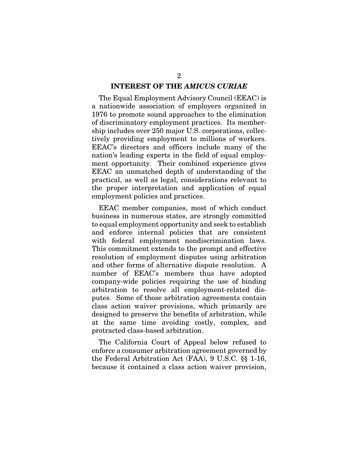#### INTEREST OF THE *AMICUS CURIAE*

The Equal Employment Advisory Council (EEAC) is a nationwide association of employers organized in 1976 to promote sound approaches to the elimination of discriminatory employment practices. Its membership includes over 250 major U.S. corporations, collectively providing employment to millions of workers. EEAC's directors and officers include many of the nation's leading experts in the field of equal employment opportunity. Their combined experience gives EEAC an unmatched depth of understanding of the practical, as well as legal, considerations relevant to the proper interpretation and application of equal employment policies and practices.

EEAC member companies, most of which conduct business in numerous states, are strongly committed to equal employment opportunity and seek to establish and enforce internal policies that are consistent with federal employment nondiscrimination laws. This commitment extends to the prompt and effective resolution of employment disputes using arbitration and other forms of alternative dispute resolution. A number of EEAC's members thus have adopted company-wide policies requiring the use of binding arbitration to resolve all employment-related disputes. Some of those arbitration agreements contain class action waiver provisions, which primarily are designed to preserve the benefits of arbitration, while at the same time avoiding costly, complex, and protracted class-based arbitration.

The California Court of Appeal below refused to enforce a consumer arbitration agreement governed by the Federal Arbitration Act (FAA), 9 U.S.C. §§ 1-16, because it contained a class action waiver provision,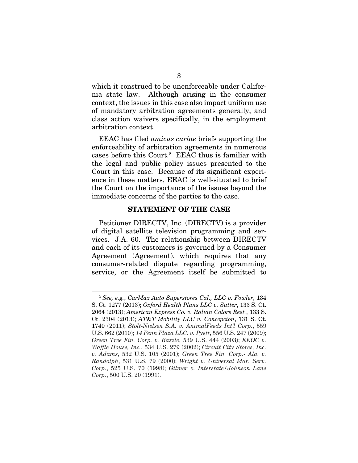which it construed to be unenforceable under California state law. Although arising in the consumer context, the issues in this case also impact uniform use of mandatory arbitration agreements generally, and class action waivers specifically, in the employment arbitration context.

EEAC has filed *amicus curiae* briefs supporting the enforceability of arbitration agreements in numerous cases before this Court.<sup>2</sup> EEAC thus is familiar with the legal and public policy issues presented to the Court in this case. Because of its significant experience in these matters, EEAC is well-situated to brief the Court on the importance of the issues beyond the immediate concerns of the parties to the case.

#### STATEMENT OF THE CASE

Petitioner DIRECTV, Inc. (DIRECTV) is a provider of digital satellite television programming and services. J.A. 60. The relationship between DIRECTV and each of its customers is governed by a Consumer Agreement (Agreement), which requires that any consumer-related dispute regarding programming, service, or the Agreement itself be submitted to

1

<sup>2</sup>  *See, e.g.*, *CarMax Auto Superstores Cal., LLC v. Fowler*, 134 S. Ct. 1277 (2013); *Oxford Health Plans LLC v. Sutter*, 133 S. Ct. 2064 (2013); *American Express Co. v. Italian Colors Rest.*, 133 S. Ct. 2304 (2013); *AT&T Mobility LLC v. Concepcion*, 131 S. Ct. 1740 (2011); *Stolt-Nielsen S.A. v. AnimalFeeds Int'l Corp.*, 559 U.S. 662 (2010); *14 Penn Plaza LLC. v. Pyett*, 556 U.S. 247 (2009); *Green Tree Fin. Corp. v. Bazzle*, 539 U.S. 444 (2003); *EEOC v. Waffle House, Inc.*, 534 U.S. 279 (2002); *Circuit City Stores, Inc. v. Adams*, 532 U.S. 105 (2001); *Green Tree Fin. Corp.- Ala. v. Randolph*, 531 U.S. 79 (2000); *Wright v. Universal Mar. Serv. Corp.*, 525 U.S. 70 (1998); *Gilmer v. Interstate/Johnson Lane Corp.*, 500 U.S. 20 (1991).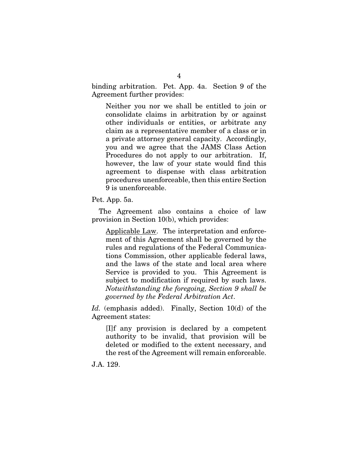binding arbitration. Pet. App. 4a. Section 9 of the Agreement further provides:

Neither you nor we shall be entitled to join or consolidate claims in arbitration by or against other individuals or entities, or arbitrate any claim as a representative member of a class or in a private attorney general capacity. Accordingly, you and we agree that the JAMS Class Action Procedures do not apply to our arbitration. If, however, the law of your state would find this agreement to dispense with class arbitration procedures unenforceable, then this entire Section 9 is unenforceable.

Pet. App. 5a.

The Agreement also contains a choice of law provision in Section 10(b), which provides:

Applicable Law. The interpretation and enforcement of this Agreement shall be governed by the rules and regulations of the Federal Communications Commission, other applicable federal laws, and the laws of the state and local area where Service is provided to you. This Agreement is subject to modification if required by such laws. *Notwithstanding the foregoing, Section 9 shall be governed by the Federal Arbitration Act*.

*Id.* (emphasis added). Finally, Section 10(d) of the Agreement states:

[I]f any provision is declared by a competent authority to be invalid, that provision will be deleted or modified to the extent necessary, and the rest of the Agreement will remain enforceable.

J.A. 129.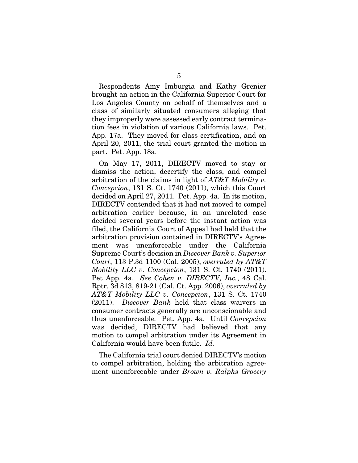Respondents Amy Imburgia and Kathy Grenier brought an action in the California Superior Court for Los Angeles County on behalf of themselves and a class of similarly situated consumers alleging that they improperly were assessed early contract termination fees in violation of various California laws. Pet. App. 17a. They moved for class certification, and on April 20, 2011, the trial court granted the motion in part. Pet. App. 18a.

On May 17, 2011, DIRECTV moved to stay or dismiss the action, decertify the class, and compel arbitration of the claims in light of *AT&T Mobility v. Concepcion*, 131 S. Ct. 1740 (2011), which this Court decided on April 27, 2011. Pet. App. 4a. In its motion, DIRECTV contended that it had not moved to compel arbitration earlier because, in an unrelated case decided several years before the instant action was filed, the California Court of Appeal had held that the arbitration provision contained in DIRECTV's Agreement was unenforceable under the California Supreme Court's decision in *Discover Bank v. Superior Court*, 113 P.3d 1100 (Cal. 2005), *overruled by AT&T Mobility LLC v. Concepcion*, 131 S. Ct. 1740 (2011). Pet App. 4a. *See Cohen v. DIRECTV, Inc.*, 48 Cal. Rptr. 3d 813, 819-21 (Cal. Ct. App. 2006), *overruled by AT&T Mobility LLC v. Concepcion*, 131 S. Ct. 1740 (2011). *Discover Bank* held that class waivers in consumer contracts generally are unconscionable and thus unenforceable*.* Pet. App. 4a. Until *Concepcion*  was decided, DIRECTV had believed that any motion to compel arbitration under its Agreement in California would have been futile. *Id.* 

The California trial court denied DIRECTV's motion to compel arbitration, holding the arbitration agreement unenforceable under *Brown v. Ralphs Grocery*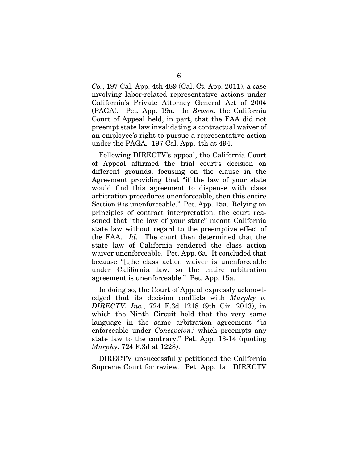*Co.*, 197 Cal. App. 4th 489 (Cal. Ct. App. 2011), a case involving labor-related representative actions under California's Private Attorney General Act of 2004 (PAGA). Pet. App. 19a. In *Brown*, the California Court of Appeal held, in part, that the FAA did not preempt state law invalidating a contractual waiver of an employee's right to pursue a representative action under the PAGA. 197 Cal. App. 4th at 494.

Following DIRECTV's appeal, the California Court of Appeal affirmed the trial court's decision on different grounds, focusing on the clause in the Agreement providing that "if the law of your state would find this agreement to dispense with class arbitration procedures unenforceable, then this entire Section 9 is unenforceable." Pet. App. 15a. Relying on principles of contract interpretation, the court reasoned that "the law of your state" meant California state law without regard to the preemptive effect of the FAA. *Id.* The court then determined that the state law of California rendered the class action waiver unenforceable. Pet. App. 6a. It concluded that because "[t]he class action waiver is unenforceable under California law, so the entire arbitration agreement is unenforceable." Pet. App. 15a.

In doing so, the Court of Appeal expressly acknowledged that its decision conflicts with *Murphy v. DIRECTV, Inc.*, 724 F.3d 1218 (9th Cir. 2013), in which the Ninth Circuit held that the very same language in the same arbitration agreement "is enforceable under *Concepcion*,' which preempts any state law to the contrary." Pet. App. 13-14 (quoting *Murphy*, 724 F.3d at 1228).

DIRECTV unsuccessfully petitioned the California Supreme Court for review. Pet. App. 1a. DIRECTV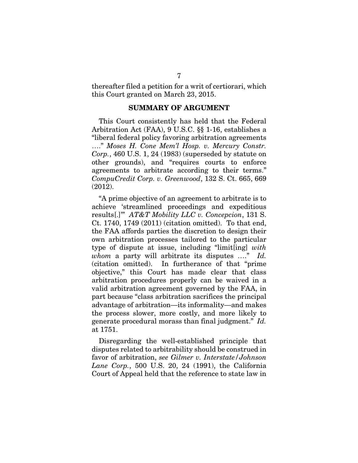thereafter filed a petition for a writ of certiorari, which this Court granted on March 23, 2015.

#### SUMMARY OF ARGUMENT

This Court consistently has held that the Federal Arbitration Act (FAA), 9 U.S.C. §§ 1-16, establishes a "liberal federal policy favoring arbitration agreements …." *Moses H. Cone Mem'l Hosp. v. Mercury Constr. Corp.*, 460 U.S. 1, 24 (1983) (superseded by statute on other grounds), and "requires courts to enforce agreements to arbitrate according to their terms." *CompuCredit Corp. v. Greenwood*, 132 S. Ct. 665, 669 (2012).

"A prime objective of an agreement to arbitrate is to achieve 'streamlined proceedings and expeditious results[.]'" *AT&T Mobility LLC v. Concepcion*, 131 S. Ct. 1740, 1749 (2011) (citation omitted). To that end, the FAA affords parties the discretion to design their own arbitration processes tailored to the particular type of dispute at issue, including "limit[ing] *with whom* a party will arbitrate its disputes …." *Id.* (citation omitted). In furtherance of that "prime objective," this Court has made clear that class arbitration procedures properly can be waived in a valid arbitration agreement governed by the FAA, in part because "class arbitration sacrifices the principal advantage of arbitration—its informality—and makes the process slower, more costly, and more likely to generate procedural morass than final judgment." *Id.* at 1751.

Disregarding the well-established principle that disputes related to arbitrability should be construed in favor of arbitration, *see Gilmer v. Interstate/Johnson Lane Corp.*, 500 U.S. 20, 24 (1991), the California Court of Appeal held that the reference to state law in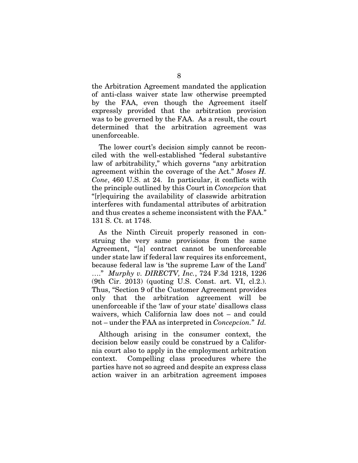the Arbitration Agreement mandated the application of anti-class waiver state law otherwise preempted by the FAA, even though the Agreement itself expressly provided that the arbitration provision was to be governed by the FAA. As a result, the court determined that the arbitration agreement was unenforceable.

The lower court's decision simply cannot be reconciled with the well-established "federal substantive law of arbitrability," which governs "any arbitration agreement within the coverage of the Act." *Moses H. Cone*, 460 U.S. at 24. In particular, it conflicts with the principle outlined by this Court in *Concepcion* that "[r]equiring the availability of classwide arbitration interferes with fundamental attributes of arbitration and thus creates a scheme inconsistent with the FAA." 131 S. Ct. at 1748.

As the Ninth Circuit properly reasoned in construing the very same provisions from the same Agreement, "[a] contract cannot be unenforceable under state law if federal law requires its enforcement, because federal law is 'the supreme Law of the Land' …." *Murphy v. DIRECTV, Inc.*, 724 F.3d 1218, 1226 (9th Cir. 2013) (quoting U.S. Const. art. VI, cl.2.). Thus, "Section 9 of the Customer Agreement provides only that the arbitration agreement will be unenforceable if the 'law of your state' disallows class waivers, which California law does not – and could not – under the FAA as interpreted in *Concepcion.*" *Id.*

Although arising in the consumer context, the decision below easily could be construed by a California court also to apply in the employment arbitration context. Compelling class procedures where the parties have not so agreed and despite an express class action waiver in an arbitration agreement imposes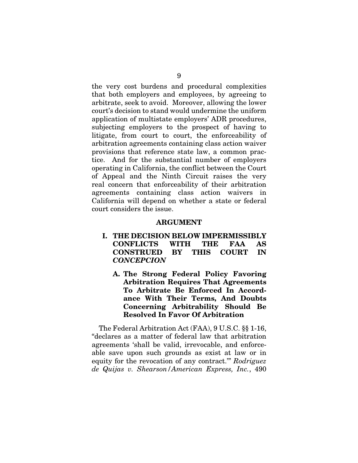the very cost burdens and procedural complexities that both employers and employees, by agreeing to arbitrate, seek to avoid. Moreover, allowing the lower court's decision to stand would undermine the uniform application of multistate employers' ADR procedures, subjecting employers to the prospect of having to litigate, from court to court, the enforceability of arbitration agreements containing class action waiver provisions that reference state law, a common practice. And for the substantial number of employers operating in California, the conflict between the Court of Appeal and the Ninth Circuit raises the very real concern that enforceability of their arbitration agreements containing class action waivers in California will depend on whether a state or federal court considers the issue.

#### ARGUMENT

- I. THE DECISION BELOW IMPERMISSIBLY CONFLICTS WITH THE FAA AS CONSTRUED BY THIS COURT IN *CONCEPCION*
	- A. The Strong Federal Policy Favoring Arbitration Requires That Agreements To Arbitrate Be Enforced In Accordance With Their Terms, And Doubts Concerning Arbitrability Should Be Resolved In Favor Of Arbitration

The Federal Arbitration Act (FAA), 9 U.S.C. §§ 1-16, "declares as a matter of federal law that arbitration agreements 'shall be valid, irrevocable, and enforceable save upon such grounds as exist at law or in equity for the revocation of any contract.'" *Rodriguez de Quijas v. Shearson/American Express, Inc.*, 490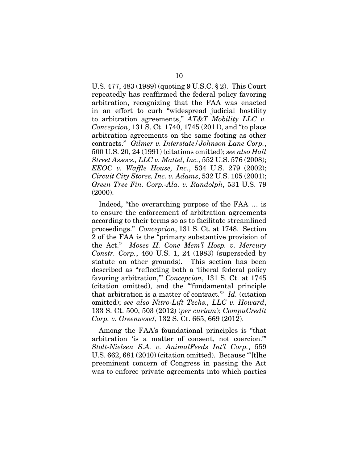U.S. 477, 483 (1989) (quoting 9 U.S.C. § 2). This Court repeatedly has reaffirmed the federal policy favoring arbitration, recognizing that the FAA was enacted in an effort to curb "widespread judicial hostility to arbitration agreements," *AT&T Mobility LLC v. Concepcion*, 131 S. Ct. 1740, 1745 (2011), and "to place arbitration agreements on the same footing as other contracts." *Gilmer v. Interstate/Johnson Lane Corp.*, 500 U.S. 20, 24 (1991) (citations omitted); *see also Hall Street Assocs., LLC v. Mattel, Inc.*, 552 U.S. 576 (2008); *EEOC v. Waffle House, Inc.*, 534 U.S. 279 (2002); *Circuit City Stores, Inc. v. Adams*, 532 U.S. 105 (2001); *Green Tree Fin. Corp.-Ala. v. Randolph*, 531 U.S. 79 (2000).

Indeed, "the overarching purpose of the FAA … is to ensure the enforcement of arbitration agreements according to their terms so as to facilitate streamlined proceedings." *Concepcion*, 131 S. Ct. at 1748. Section 2 of the FAA is the "primary substantive provision of the Act." *Moses H. Cone Mem'l Hosp. v. Mercury Constr. Corp.*, 460 U.S. 1, 24 (1983) (superseded by statute on other grounds). This section has been described as "reflecting both a 'liberal federal policy favoring arbitration,'" *Concepcion*, 131 S. Ct. at 1745 (citation omitted), and the "'fundamental principle that arbitration is a matter of contract.'" *Id.* (citation omitted); *see also Nitro-Lift Techs., LLC v. Howard*, 133 S. Ct. 500, 503 (2012) (*per curiam*); *CompuCredit Corp. v. Greenwood*, 132 S. Ct. 665, 669 (2012).

Among the FAA's foundational principles is "that arbitration 'is a matter of consent, not coercion.'" *Stolt-Nielsen S.A. v. AnimalFeeds Int'l Corp.*, 559 U.S. 662, 681 (2010) (citation omitted). Because "'[t]he preeminent concern of Congress in passing the Act was to enforce private agreements into which parties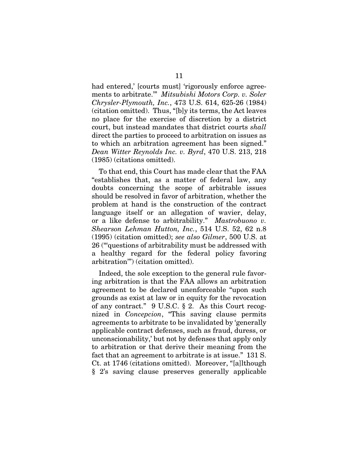had entered,' [courts must] 'rigorously enforce agreements to arbitrate.'" *Mitsubishi Motors Corp. v. Soler Chrysler-Plymouth, Inc.*, 473 U.S. 614, 625-26 (1984) (citation omitted). Thus, "[b]y its terms, the Act leaves no place for the exercise of discretion by a district court, but instead mandates that district courts *shall* direct the parties to proceed to arbitration on issues as to which an arbitration agreement has been signed." *Dean Witter Reynolds Inc. v. Byrd*, 470 U.S. 213, 218 (1985) (citations omitted).

To that end, this Court has made clear that the FAA "establishes that, as a matter of federal law, any doubts concerning the scope of arbitrable issues should be resolved in favor of arbitration, whether the problem at hand is the construction of the contract language itself or an allegation of wavier, delay, or a like defense to arbitrability." *Mastrobuono v. Shearson Lehman Hutton, Inc.*, 514 U.S. 52, 62 n.8 (1995) (citation omitted); *see also Gilmer*, 500 U.S. at 26 ("'questions of arbitrability must be addressed with a healthy regard for the federal policy favoring arbitration'") (citation omitted).

Indeed, the sole exception to the general rule favoring arbitration is that the FAA allows an arbitration agreement to be declared unenforceable "upon such grounds as exist at law or in equity for the revocation of any contract." 9 U.S.C. § 2. As this Court recognized in *Concepcion*, "This saving clause permits agreements to arbitrate to be invalidated by 'generally applicable contract defenses, such as fraud, duress, or unconscionability,' but not by defenses that apply only to arbitration or that derive their meaning from the fact that an agreement to arbitrate is at issue." 131 S. Ct. at 1746 (citations omitted). Moreover, "[a]lthough § 2's saving clause preserves generally applicable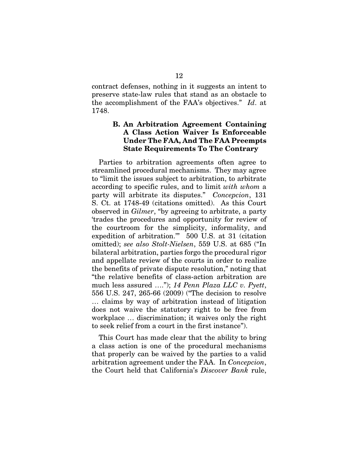contract defenses, nothing in it suggests an intent to preserve state-law rules that stand as an obstacle to the accomplishment of the FAA's objectives." *Id*. at 1748.

### B. An Arbitration Agreement Containing A Class Action Waiver Is Enforceable Under The FAA, And The FAA Preempts State Requirements To The Contrary

Parties to arbitration agreements often agree to streamlined procedural mechanisms. They may agree to "limit the issues subject to arbitration, to arbitrate according to specific rules, and to limit *with whom* a party will arbitrate its disputes." *Concepcion*, 131 S. Ct. at 1748-49 (citations omitted). As this Court observed in *Gilmer*, "by agreeing to arbitrate, a party 'trades the procedures and opportunity for review of the courtroom for the simplicity, informality, and expedition of arbitration.'" 500 U.S. at 31 (citation omitted); *see also Stolt-Nielsen*, 559 U.S. at 685 ("In bilateral arbitration, parties forgo the procedural rigor and appellate review of the courts in order to realize the benefits of private dispute resolution," noting that "the relative benefits of class-action arbitration are much less assured …."); *14 Penn Plaza LLC v. Pyett*, 556 U.S. 247, 265-66 (2009) ("The decision to resolve … claims by way of arbitration instead of litigation does not waive the statutory right to be free from workplace … discrimination; it waives only the right to seek relief from a court in the first instance").

This Court has made clear that the ability to bring a class action is one of the procedural mechanisms that properly can be waived by the parties to a valid arbitration agreement under the FAA. In *Concepcion*, the Court held that California's *Discover Bank* rule,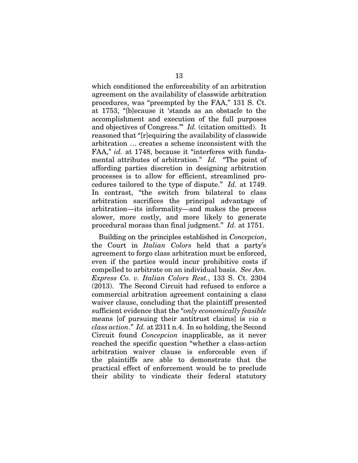which conditioned the enforceability of an arbitration agreement on the availability of classwide arbitration procedures, was "preempted by the FAA," 131 S. Ct. at 1753, "[b]ecause it 'stands as an obstacle to the accomplishment and execution of the full purposes and objectives of Congress.'" *Id.* (citation omitted). It reasoned that "[r]equiring the availability of classwide arbitration … creates a scheme inconsistent with the FAA," *id.* at 1748, because it "interferes with fundamental attributes of arbitration." *Id.* "The point of affording parties discretion in designing arbitration processes is to allow for efficient, streamlined procedures tailored to the type of dispute." *Id.* at 1749. In contrast, "the switch from bilateral to class arbitration sacrifices the principal advantage of arbitration—its informality—and makes the process slower, more costly, and more likely to generate procedural morass than final judgment." *Id.* at 1751.

Building on the principles established in *Concepcion*, the Court in *Italian Colors* held that a party's agreement to forgo class arbitration must be enforced, even if the parties would incur prohibitive costs if compelled to arbitrate on an individual basis. *See Am. Express Co. v. Italian Colors Rest.*, 133 S. Ct. 2304 (2013). The Second Circuit had refused to enforce a commercial arbitration agreement containing a class waiver clause, concluding that the plaintiff presented sufficient evidence that the "*only economically feasible* means [of pursuing their antitrust claims] is *via a class action*." *Id.* at 2311 n.4. In so holding, the Second Circuit found *Concepcion* inapplicable, as it never reached the specific question "whether a class-action arbitration waiver clause is enforceable even if the plaintiffs are able to demonstrate that the practical effect of enforcement would be to preclude their ability to vindicate their federal statutory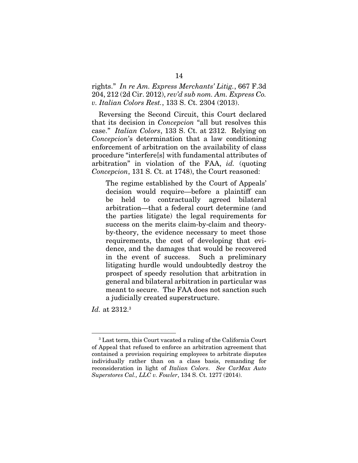rights." *In re Am. Express Merchants' Litig.*, 667 F.3d 204, 212 (2d Cir. 2012), *rev'd sub nom. Am. Express Co. v. Italian Colors Rest.*, 133 S. Ct. 2304 (2013).

Reversing the Second Circuit, this Court declared that its decision in *Concepcion* "all but resolves this case." *Italian Colors*, 133 S. Ct. at 2312. Relying on *Concepcion*'s determination that a law conditioning enforcement of arbitration on the availability of class procedure "interfere[s] with fundamental attributes of arbitration" in violation of the FAA, *id.* (quoting *Concepcion*, 131 S. Ct. at 1748), the Court reasoned:

The regime established by the Court of Appeals' decision would require—before a plaintiff can be held to contractually agreed bilateral arbitration—that a federal court determine (and the parties litigate) the legal requirements for success on the merits claim-by-claim and theoryby-theory, the evidence necessary to meet those requirements, the cost of developing that evidence, and the damages that would be recovered in the event of success. Such a preliminary litigating hurdle would undoubtedly destroy the prospect of speedy resolution that arbitration in general and bilateral arbitration in particular was meant to secure. The FAA does not sanction such a judicially created superstructure.

*Id.* at 2312.3

1

<sup>3</sup> Last term, this Court vacated a ruling of the California Court of Appeal that refused to enforce an arbitration agreement that contained a provision requiring employees to arbitrate disputes individually rather than on a class basis, remanding for reconsideration in light of *Italian Colors*. *See CarMax Auto Superstores Cal., LLC v. Fowler*, 134 S. Ct. 1277 (2014).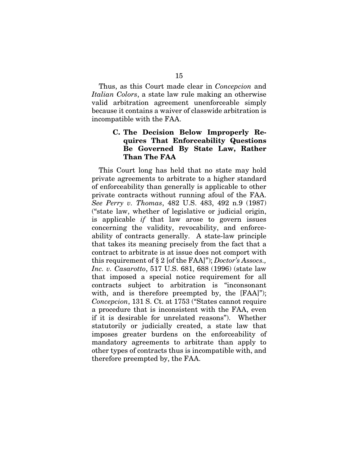Thus, as this Court made clear in *Concepcion* and *Italian Colors*, a state law rule making an otherwise valid arbitration agreement unenforceable simply because it contains a waiver of classwide arbitration is incompatible with the FAA.

### C. The Decision Below Improperly Requires That Enforceability Questions Be Governed By State Law, Rather Than The FAA

This Court long has held that no state may hold private agreements to arbitrate to a higher standard of enforceability than generally is applicable to other private contracts without running afoul of the FAA. *See Perry v. Thomas*, 482 U.S. 483, 492 n.9 (1987) ("state law, whether of legislative or judicial origin, is applicable *if* that law arose to govern issues concerning the validity, revocability, and enforceability of contracts generally. A state-law principle that takes its meaning precisely from the fact that a contract to arbitrate is at issue does not comport with this requirement of § 2 [of the FAA]"); *Doctor's Assocs., Inc. v. Casarotto*, 517 U.S. 681, 688 (1996) (state law that imposed a special notice requirement for all contracts subject to arbitration is "inconsonant with, and is therefore preempted by, the [FAA]"); *Concepcion*, 131 S. Ct. at 1753 ("States cannot require a procedure that is inconsistent with the FAA, even if it is desirable for unrelated reasons"). Whether statutorily or judicially created, a state law that imposes greater burdens on the enforceability of mandatory agreements to arbitrate than apply to other types of contracts thus is incompatible with, and therefore preempted by, the FAA.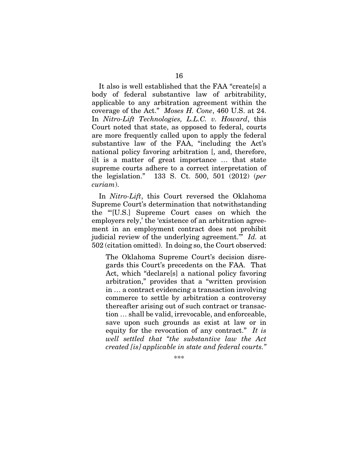It also is well established that the FAA "create[s] a body of federal substantive law of arbitrability, applicable to any arbitration agreement within the coverage of the Act." *Moses H. Cone*, 460 U.S. at 24. In *Nitro-Lift Technologies, L.L.C. v. Howard*, this Court noted that state, as opposed to federal, courts are more frequently called upon to apply the federal substantive law of the FAA, "including the Act's national policy favoring arbitration [, and, therefore, i]t is a matter of great importance … that state supreme courts adhere to a correct interpretation of the legislation." 133 S. Ct. 500, 501 (2012) (*per curiam*).

In *Nitro-Lift*, this Court reversed the Oklahoma Supreme Court's determination that notwithstanding the "'[U.S.] Supreme Court cases on which the employers rely,' the 'existence of an arbitration agreement in an employment contract does not prohibit judicial review of the underlying agreement.'" *Id.* at 502 (citation omitted). In doing so, the Court observed:

The Oklahoma Supreme Court's decision disregards this Court's precedents on the FAA. That Act, which "declare[s] a national policy favoring arbitration," provides that a "written provision in … a contract evidencing a transaction involving commerce to settle by arbitration a controversy thereafter arising out of such contract or transaction … shall be valid, irrevocable, and enforceable, save upon such grounds as exist at law or in equity for the revocation of any contract." *It is well settled that "the substantive law the Act created [is] applicable in state and federal courts."*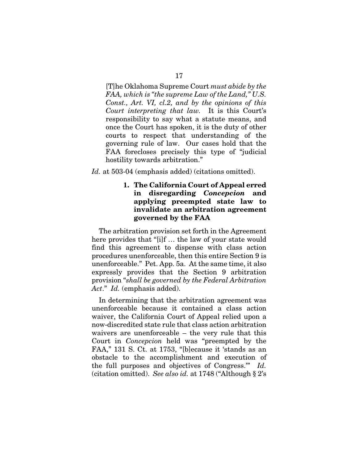[T]he Oklahoma Supreme Court *must abide by the FAA, which is "the supreme Law of the Land," U.S. Const., Art. VI, cl.2, and by the opinions of this Court interpreting that law.* It is this Court's responsibility to say what a statute means, and once the Court has spoken, it is the duty of other courts to respect that understanding of the governing rule of law. Our cases hold that the FAA forecloses precisely this type of "judicial hostility towards arbitration."

*Id.* at 503-04 (emphasis added) (citations omitted).

### 1. The California Court of Appeal erred in disregarding *Concepcion* and applying preempted state law to invalidate an arbitration agreement governed by the FAA

The arbitration provision set forth in the Agreement here provides that "[i]f … the law of your state would find this agreement to dispense with class action procedures unenforceable, then this entire Section 9 is unenforceable." Pet. App. 5a. At the same time, it also expressly provides that the Section 9 arbitration provision "*shall be governed by the Federal Arbitration Act*." *Id.* (emphasis added).

In determining that the arbitration agreement was unenforceable because it contained a class action waiver, the California Court of Appeal relied upon a now-discredited state rule that class action arbitration waivers are unenforceable – the very rule that this Court in *Concepcion* held was "preempted by the FAA," 131 S. Ct. at 1753, "[b]ecause it 'stands as an obstacle to the accomplishment and execution of the full purposes and objectives of Congress.'" *Id.* (citation omitted). *See also id.* at 1748 ("Although § 2's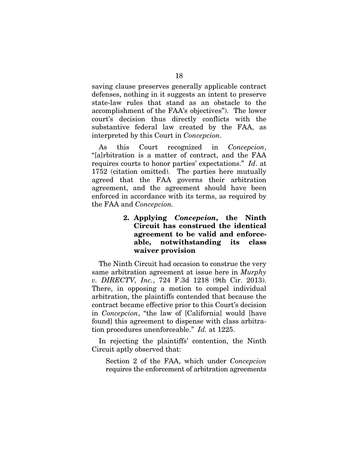saving clause preserves generally applicable contract defenses, nothing in it suggests an intent to preserve state-law rules that stand as an obstacle to the accomplishment of the FAA's objectives"). The lower court's decision thus directly conflicts with the substantive federal law created by the FAA, as interpreted by this Court in *Concepcion*.

As this Court recognized in *Concepcion*, "[a]rbitration is a matter of contract, and the FAA requires courts to honor parties' expectations." *Id*. at 1752 (citation omitted). The parties here mutually agreed that the FAA governs their arbitration agreement, and the agreement should have been enforced in accordance with its terms, as required by the FAA and *Concepcion.* 

> 2. Applying *Concepcion*, the Ninth Circuit has construed the identical agreement to be valid and enforceable, notwithstanding its class waiver provision

The Ninth Circuit had occasion to construe the very same arbitration agreement at issue here in *Murphy v. DIRECTV, Inc.*, 724 F.3d 1218 (9th Cir. 2013). There, in opposing a motion to compel individual arbitration, the plaintiffs contended that because the contract became effective prior to this Court's decision in *Concepcion*, "the law of [California] would [have found] this agreement to dispense with class arbitration procedures unenforceable." *Id.* at 1225.

In rejecting the plaintiffs' contention, the Ninth Circuit aptly observed that:

Section 2 of the FAA, which under *Concepcion* requires the enforcement of arbitration agreements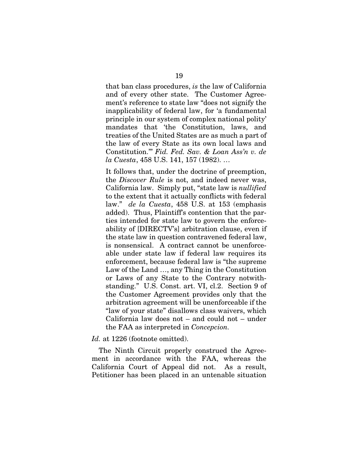that ban class procedures, *is* the law of California and of every other state. The Customer Agreement's reference to state law "does not signify the inapplicability of federal law, for 'a fundamental principle in our system of complex national polity' mandates that 'the Constitution, laws, and treaties of the United States are as much a part of the law of every State as its own local laws and Constitution.'" *Fid. Fed. Sav. & Loan Ass'n v. de la Cuesta*, 458 U.S. 141, 157 (1982). …

It follows that, under the doctrine of preemption, the *Discover Rule* is not, and indeed never was, California law. Simply put, "state law is *nullified*  to the extent that it actually conflicts with federal law." *de la Cuesta*, 458 U.S. at 153 (emphasis added). Thus, Plaintiff's contention that the parties intended for state law to govern the enforceability of [DIRECTV's] arbitration clause, even if the state law in question contravened federal law, is nonsensical. A contract cannot be unenforceable under state law if federal law requires its enforcement, because federal law is "the supreme Law of the Land …, any Thing in the Constitution or Laws of any State to the Contrary notwithstanding." U.S. Const. art. VI, cl.2. Section 9 of the Customer Agreement provides only that the arbitration agreement will be unenforceable if the "law of your state" disallows class waivers, which California law does not – and could not – under the FAA as interpreted in *Concepcion.*

Id. at 1226 (footnote omitted).

The Ninth Circuit properly construed the Agreement in accordance with the FAA, whereas the California Court of Appeal did not. As a result, Petitioner has been placed in an untenable situation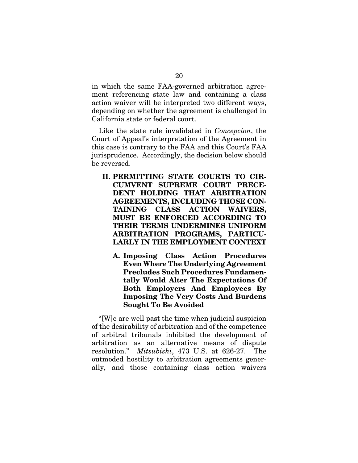in which the same FAA-governed arbitration agreement referencing state law and containing a class action waiver will be interpreted two different ways, depending on whether the agreement is challenged in California state or federal court.

Like the state rule invalidated in *Concepcion*, the Court of Appeal's interpretation of the Agreement in this case is contrary to the FAA and this Court's FAA jurisprudence. Accordingly, the decision below should be reversed.

- II. PERMITTING STATE COURTS TO CIR-CUMVENT SUPREME COURT PRECE-DENT HOLDING THAT ARBITRATION AGREEMENTS, INCLUDING THOSE CON-TAINING CLASS ACTION WAIVERS, MUST BE ENFORCED ACCORDING TO THEIR TERMS UNDERMINES UNIFORM ARBITRATION PROGRAMS, PARTICU-LARLY IN THE EMPLOYMENT CONTEXT
	- A. Imposing Class Action Procedures Even Where The Underlying Agreement Precludes Such Procedures Fundamentally Would Alter The Expectations Of Both Employers And Employees By Imposing The Very Costs And Burdens Sought To Be Avoided

"[W]e are well past the time when judicial suspicion of the desirability of arbitration and of the competence of arbitral tribunals inhibited the development of arbitration as an alternative means of dispute resolution." *Mitsubishi*, 473 U.S. at 626-27. The outmoded hostility to arbitration agreements generally, and those containing class action waivers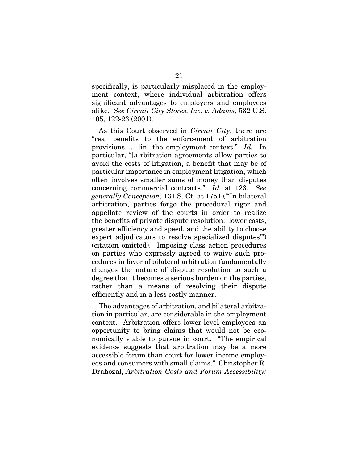specifically, is particularly misplaced in the employment context, where individual arbitration offers significant advantages to employers and employees alike. *See Circuit City Stores, Inc. v. Adams*, 532 U.S. 105, 122-23 (2001).

As this Court observed in *Circuit City*, there are "real benefits to the enforcement of arbitration provisions … [in] the employment context." *Id.* In particular, "[a]rbitration agreements allow parties to avoid the costs of litigation, a benefit that may be of particular importance in employment litigation, which often involves smaller sums of money than disputes concerning commercial contracts." *Id.* at 123. *See generally Concepcion*, 131 S. Ct. at 1751 ("'In bilateral arbitration, parties forgo the procedural rigor and appellate review of the courts in order to realize the benefits of private dispute resolution: lower costs, greater efficiency and speed, and the ability to choose expert adjudicators to resolve specialized disputes'") (citation omitted). Imposing class action procedures on parties who expressly agreed to waive such procedures in favor of bilateral arbitration fundamentally changes the nature of dispute resolution to such a degree that it becomes a serious burden on the parties, rather than a means of resolving their dispute efficiently and in a less costly manner.

The advantages of arbitration, and bilateral arbitration in particular, are considerable in the employment context. Arbitration offers lower-level employees an opportunity to bring claims that would not be economically viable to pursue in court. "The empirical evidence suggests that arbitration may be a more accessible forum than court for lower income employees and consumers with small claims." Christopher R. Drahozal, *Arbitration Costs and Forum Accessibility:*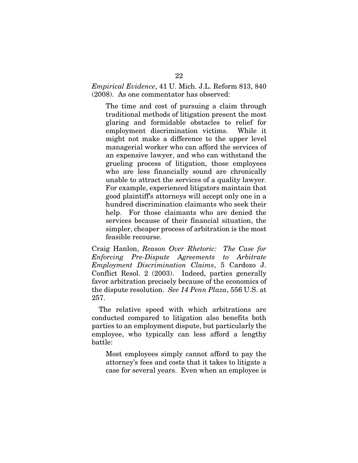### *Empirical Evidence*, 41 U. Mich. J.L. Reform 813, 840 (2008). As one commentator has observed:

The time and cost of pursuing a claim through traditional methods of litigation present the most glaring and formidable obstacles to relief for employment discrimination victims. While it might not make a difference to the upper level managerial worker who can afford the services of an expensive lawyer, and who can withstand the grueling process of litigation, those employees who are less financially sound are chronically unable to attract the services of a quality lawyer. For example, experienced litigators maintain that good plaintiff's attorneys will accept only one in a hundred discrimination claimants who seek their help. For those claimants who are denied the services because of their financial situation, the simpler, cheaper process of arbitration is the most feasible recourse.

Craig Hanlon, *Reason Over Rhetoric: The Case for Enforcing Pre-Dispute Agreements to Arbitrate Employment Discrimination Claims*, 5 Cardozo J. Conflict Resol. 2 (2003). Indeed, parties generally favor arbitration precisely because of the economics of the dispute resolution. *See 14 Penn Plaza*, 556 U.S. at 257.

The relative speed with which arbitrations are conducted compared to litigation also benefits both parties to an employment dispute, but particularly the employee, who typically can less afford a lengthy battle:

Most employees simply cannot afford to pay the attorney's fees and costs that it takes to litigate a case for several years. Even when an employee is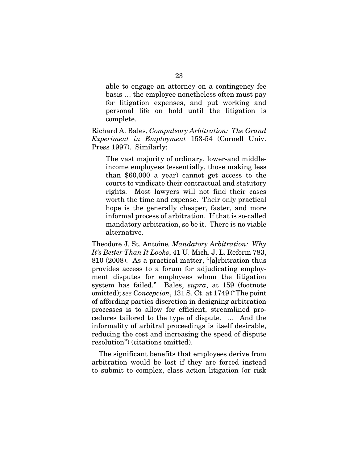able to engage an attorney on a contingency fee basis … the employee nonetheless often must pay for litigation expenses, and put working and personal life on hold until the litigation is complete.

Richard A. Bales, *Compulsory Arbitration: The Grand Experiment in Employment* 153-54 (Cornell Univ. Press 1997). Similarly:

The vast majority of ordinary, lower-and middleincome employees (essentially, those making less than \$60,000 a year) cannot get access to the courts to vindicate their contractual and statutory rights. Most lawyers will not find their cases worth the time and expense. Their only practical hope is the generally cheaper, faster, and more informal process of arbitration. If that is so-called mandatory arbitration, so be it. There is no viable alternative.

Theodore J. St. Antoine*, Mandatory Arbitration: Why It's Better Than It Looks*, 41 U. Mich. J. L. Reform 783, 810 (2008). As a practical matter, "[a]rbitration thus provides access to a forum for adjudicating employment disputes for employees whom the litigation system has failed." Bales, *supra*, at 159 (footnote omitted); *see Concepcion*, 131 S. Ct. at 1749 ("The point of affording parties discretion in designing arbitration processes is to allow for efficient, streamlined procedures tailored to the type of dispute. … And the informality of arbitral proceedings is itself desirable, reducing the cost and increasing the speed of dispute resolution") (citations omitted).

The significant benefits that employees derive from arbitration would be lost if they are forced instead to submit to complex, class action litigation (or risk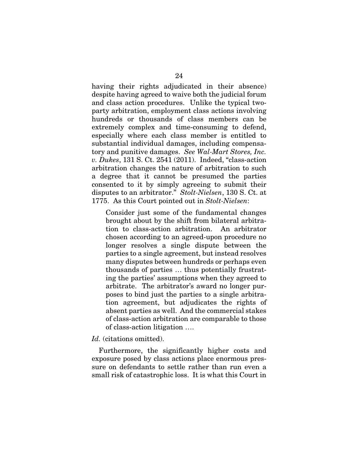having their rights adjudicated in their absence) despite having agreed to waive both the judicial forum and class action procedures. Unlike the typical twoparty arbitration, employment class actions involving hundreds or thousands of class members can be extremely complex and time-consuming to defend, especially where each class member is entitled to substantial individual damages, including compensatory and punitive damages. *See Wal-Mart Stores, Inc. v. Dukes*, 131 S. Ct. 2541 (2011). Indeed, "class-action arbitration changes the nature of arbitration to such a degree that it cannot be presumed the parties consented to it by simply agreeing to submit their disputes to an arbitrator." *Stolt-Nielsen*, 130 S. Ct. at 1775. As this Court pointed out in *Stolt-Nielsen*:

Consider just some of the fundamental changes brought about by the shift from bilateral arbitration to class-action arbitration. An arbitrator chosen according to an agreed-upon procedure no longer resolves a single dispute between the parties to a single agreement, but instead resolves many disputes between hundreds or perhaps even thousands of parties … thus potentially frustrating the parties' assumptions when they agreed to arbitrate. The arbitrator's award no longer purposes to bind just the parties to a single arbitration agreement, but adjudicates the rights of absent parties as well. And the commercial stakes of class-action arbitration are comparable to those of class-action litigation ….

*Id.* (citations omitted).

Furthermore, the significantly higher costs and exposure posed by class actions place enormous pressure on defendants to settle rather than run even a small risk of catastrophic loss. It is what this Court in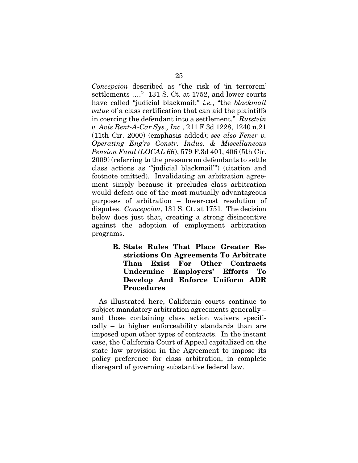*Concepcion* described as "the risk of 'in terrorem' settlements …." 131 S. Ct. at 1752, and lower courts have called "judicial blackmail;" *i.e.*, "the *blackmail value* of a class certification that can aid the plaintiffs in coercing the defendant into a settlement." *Rutstein v. Avis Rent-A-Car Sys., Inc.*, 211 F.3d 1228, 1240 n.21 (11th Cir. 2000) (emphasis added); *see also Fener v. Operating Eng'rs Constr. Indus. & Miscellaneous Pension Fund (LOCAL 66*), 579 F.3d 401, 406 (5th Cir. 2009) (referring to the pressure on defendants to settle class actions as "'judicial blackmail'") (citation and footnote omitted). Invalidating an arbitration agreement simply because it precludes class arbitration would defeat one of the most mutually advantageous purposes of arbitration – lower-cost resolution of disputes. *Concepcion*, 131 S. Ct. at 1751. The decision below does just that, creating a strong disincentive against the adoption of employment arbitration programs.

> B. State Rules That Place Greater Restrictions On Agreements To Arbitrate Than Exist For Other Contracts Undermine Employers' Efforts To Develop And Enforce Uniform ADR Procedures

As illustrated here, California courts continue to subject mandatory arbitration agreements generally – and those containing class action waivers specifically – to higher enforceability standards than are imposed upon other types of contracts. In the instant case, the California Court of Appeal capitalized on the state law provision in the Agreement to impose its policy preference for class arbitration, in complete disregard of governing substantive federal law.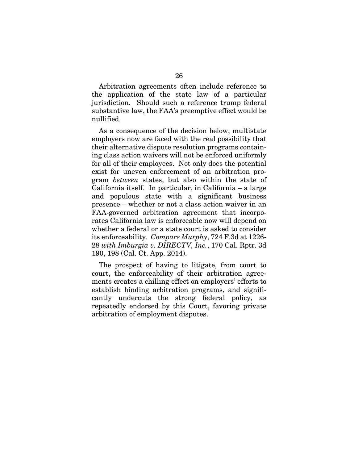Arbitration agreements often include reference to the application of the state law of a particular jurisdiction. Should such a reference trump federal substantive law, the FAA's preemptive effect would be nullified.

As a consequence of the decision below, multistate employers now are faced with the real possibility that their alternative dispute resolution programs containing class action waivers will not be enforced uniformly for all of their employees. Not only does the potential exist for uneven enforcement of an arbitration program *between* states, but also within the state of California itself. In particular, in California – a large and populous state with a significant business presence – whether or not a class action waiver in an FAA-governed arbitration agreement that incorporates California law is enforceable now will depend on whether a federal or a state court is asked to consider its enforceability. *Compare Murphy*, 724 F.3d at 1226- 28 *with Imburgia v. DIRECTV, Inc.*, 170 Cal. Rptr. 3d 190, 198 (Cal. Ct. App. 2014).

The prospect of having to litigate, from court to court, the enforceability of their arbitration agreements creates a chilling effect on employers' efforts to establish binding arbitration programs, and significantly undercuts the strong federal policy, as repeatedly endorsed by this Court, favoring private arbitration of employment disputes.